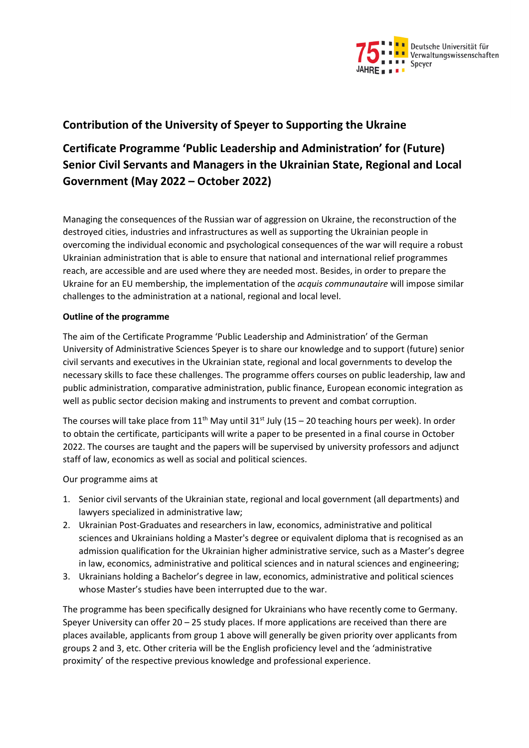

# **Contribution of the University of Speyer to Supporting the Ukraine**

# **Certificate Programme 'Public Leadership and Administration' for (Future) Senior Civil Servants and Managers in the Ukrainian State, Regional and Local Government (May 2022 – October 2022)**

Managing the consequences of the Russian war of aggression on Ukraine, the reconstruction of the destroyed cities, industries and infrastructures as well as supporting the Ukrainian people in overcoming the individual economic and psychological consequences of the war will require a robust Ukrainian administration that is able to ensure that national and international relief programmes reach, are accessible and are used where they are needed most. Besides, in order to prepare the Ukraine for an EU membership, the implementation of the *acquis communautaire* will impose similar challenges to the administration at a national, regional and local level.

# **Outline of the programme**

The aim of the Certificate Programme 'Public Leadership and Administration' of the German University of Administrative Sciences Speyer is to share our knowledge and to support (future) senior civil servants and executives in the Ukrainian state, regional and local governments to develop the necessary skills to face these challenges. The programme offers courses on public leadership, law and public administration, comparative administration, public finance, European economic integration as well as public sector decision making and instruments to prevent and combat corruption.

The courses will take place from  $11<sup>th</sup>$  May until 31<sup>st</sup> July (15 – 20 teaching hours per week). In order to obtain the certificate, participants will write a paper to be presented in a final course in October 2022. The courses are taught and the papers will be supervised by university professors and adjunct staff of law, economics as well as social and political sciences.

Our programme aims at

- 1. Senior civil servants of the Ukrainian state, regional and local government (all departments) and lawyers specialized in administrative law;
- 2. Ukrainian Post-Graduates and researchers in law, economics, administrative and political sciences and Ukrainians holding a Master's degree or equivalent diploma that is recognised as an admission qualification for the Ukrainian higher administrative service, such as a Master's degree in law, economics, administrative and political sciences and in natural sciences and engineering;
- 3. Ukrainians holding a Bachelor's degree in law, economics, administrative and political sciences whose Master's studies have been interrupted due to the war.

The programme has been specifically designed for Ukrainians who have recently come to Germany. Speyer University can offer 20 – 25 study places. If more applications are received than there are places available, applicants from group 1 above will generally be given priority over applicants from groups 2 and 3, etc. Other criteria will be the English proficiency level and the 'administrative proximity' of the respective previous knowledge and professional experience.